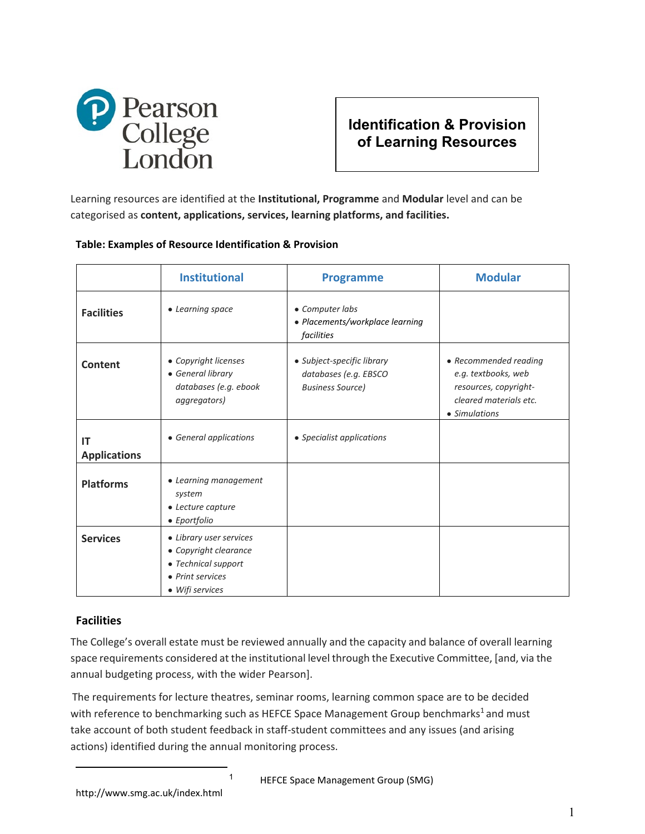

# **Identification & Provision of Learning Resources**

Learning resources are identified at the **Institutional, Programme** and **Modular** level and can be categorised as **content, applications, services, learning platforms, and facilities.**

#### **Table: Examples of Resource Identification & Provision**

|                           | <b>Institutional</b>                                                                                           | <b>Programme</b>                                                               | <b>Modular</b>                                                                                                   |
|---------------------------|----------------------------------------------------------------------------------------------------------------|--------------------------------------------------------------------------------|------------------------------------------------------------------------------------------------------------------|
| <b>Facilities</b>         | • Learning space                                                                                               | • Computer labs<br>· Placements/workplace learning<br>facilities               |                                                                                                                  |
| <b>Content</b>            | • Copyright licenses<br>• General library<br>databases (e.g. ebook<br>aggregators)                             | • Subject-specific library<br>databases (e.g. EBSCO<br><b>Business Source)</b> | • Recommended reading<br>e.g. textbooks, web<br>resources, copyright-<br>cleared materials etc.<br>• Simulations |
| IT<br><b>Applications</b> | • General applications                                                                                         | • Specialist applications                                                      |                                                                                                                  |
| <b>Platforms</b>          | • Learning management<br>system<br>• Lecture capture<br>• Eportfolio                                           |                                                                                |                                                                                                                  |
| <b>Services</b>           | • Library user services<br>• Copyright clearance<br>• Technical support<br>• Print services<br>• Wifi services |                                                                                |                                                                                                                  |

#### **Facilities**

The College's overall estate must be reviewed annually and the capacity and balance of overall learning space requirements considered at the institutional level through the Executive Committee, [and, via the annual budgeting process, with the wider Pearson].

The requirements for lecture theatres, seminar rooms, learning common space are to be decided with reference to benchmarking such as HEFCE Space Management Group benchmarks<sup>1</sup> and must take account of both student feedback in staff-student committees and any issues (and arising actions) identified during the annual monitoring process.

<sup>1</sup> HEFCE Space Management Group (SMG)

<http://www.smg.ac.uk/index.html>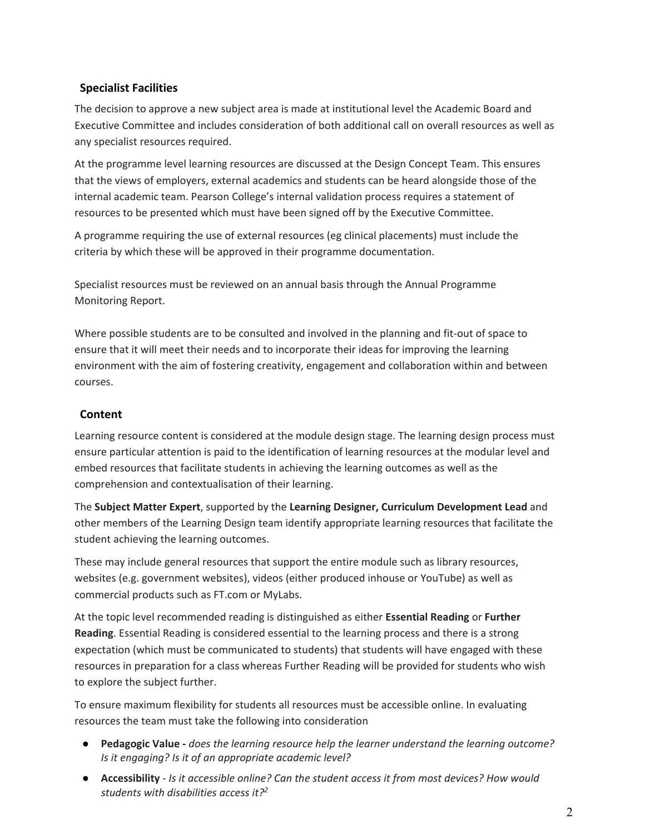## **Specialist Facilities**

The decision to approve a new subject area is made at institutional level the Academic Board and Executive Committee and includes consideration of both additional call on overall resources as well as any specialist resources required.

At the programme level learning resources are discussed at the Design Concept Team. This ensures that the views of employers, external academics and students can be heard alongside those of the internal academic team. Pearson College's internal validation process requires a statement of resources to be presented which must have been signed off by the Executive Committee.

A programme requiring the use of external resources (eg clinical placements) must include the criteria by which these will be approved in their programme documentation.

Specialist resources must be reviewed on an annual basis through the Annual Programme Monitoring Report.

Where possible students are to be consulted and involved in the planning and fit-out of space to ensure that it will meet their needs and to incorporate their ideas for improving the learning environment with the aim of fostering creativity, engagement and collaboration within and between courses.

### **Content**

Learning resource content is considered at the module design stage. The learning design process must ensure particular attention is paid to the identification of learning resources at the modular level and embed resources that facilitate students in achieving the learning outcomes as well as the comprehension and contextualisation of their learning.

The **Subject Matter Expert**, supported by the **Learning Designer, Curriculum Development Lead** and other members of the Learning Design team identify appropriate learning resources that facilitate the student achieving the learning outcomes.

These may include general resources that support the entire module such as library resources, websites (e.g. government websites), videos (either produced inhouse or YouTube) as well as commercial products such as FT.com or MyLabs.

At the topic level recommended reading is distinguished as either **Essential Reading** or **Further Reading**. Essential Reading is considered essential to the learning process and there is a strong expectation (which must be communicated to students) that students will have engaged with these resources in preparation for a class whereas Further Reading will be provided for students who wish to explore the subject further.

To ensure maximum flexibility for students all resources must be accessible online. In evaluating resources the team must take the following into consideration

- **Pedagogic Value -** *does the learning resource help the learner understand the learning outcome? Is it engaging? Is it of an appropriate academic level?*
- **Accessibility**  *Is it accessible online? Can the student access it from most devices? How would students with disabilities access it?2*